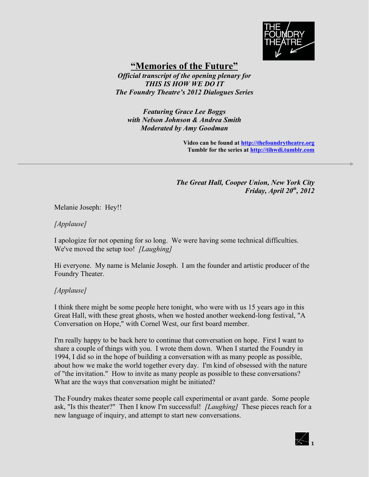

# **"Memories of the Future"**

*Official transcript of the opening plenary for THIS IS HOW WE DO IT The Foundry Theatre's 2012 Dialogues Series*

*Featuring Grace Lee Boggs with Nelson Johnson & Andrea Smith Moderated by Amy Goodman*

> **Video can be found at [http://thefoundrytheatre.org](http://thefoundrytheatre.org/) Tumblr for the series at [http://tihwdi.tumblr.com](http://tihwdi.tumblr.com/)**

*The Great Hall, Cooper Union, New York City Friday, April 20th, 2012*

Melanie Joseph: Hey!!

#### *[Applause]*

I apologize for not opening for so long. We were having some technical difficulties. We've moved the setup too! *[Laughing]*

Hi everyone. My name is Melanie Joseph. I am the founder and artistic producer of the Foundry Theater.

#### *[Applause]*

I think there might be some people here tonight, who were with us 15 years ago in this Great Hall, with these great ghosts, when we hosted another weekend-long festival, "A Conversation on Hope," with Cornel West, our first board member.

I'm really happy to be back here to continue that conversation on hope. First I want to share a couple of things with you. I wrote them down. When I started the Foundry in 1994, I did so in the hope of building a conversation with as many people as possible, about how we make the world together every day. I'm kind of obsessed with the nature of "the invitation." How to invite as many people as possible to these conversations? What are the ways that conversation might be initiated?

The Foundry makes theater some people call experimental or avant garde. Some people ask, "Is this theater?" Then I know I'm successful! *[Laughing]* These pieces reach for a new language of inquiry, and attempt to start new conversations.

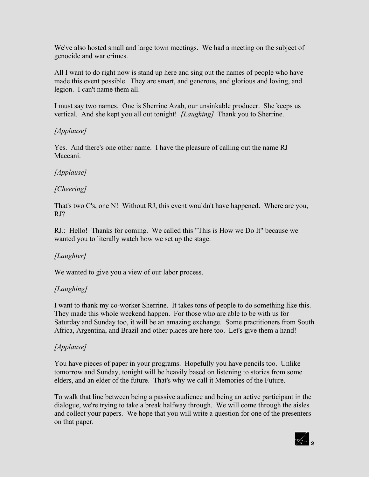We've also hosted small and large town meetings. We had a meeting on the subject of genocide and war crimes.

All I want to do right now is stand up here and sing out the names of people who have made this event possible. They are smart, and generous, and glorious and loving, and legion. I can't name them all.

I must say two names. One is Sherrine Azab, our unsinkable producer. She keeps us vertical. And she kept you all out tonight! *[Laughing]* Thank you to Sherrine.

### *[Applause]*

Yes. And there's one other name. I have the pleasure of calling out the name RJ Maccani.

### *[Applause]*

#### *[Cheering]*

That's two C's, one N! Without RJ, this event wouldn't have happened. Where are you, RJ?

RJ.: Hello! Thanks for coming. We called this "This is How we Do It" because we wanted you to literally watch how we set up the stage.

#### *[Laughter]*

We wanted to give you a view of our labor process.

#### *[Laughing]*

I want to thank my co-worker Sherrine. It takes tons of people to do something like this. They made this whole weekend happen. For those who are able to be with us for Saturday and Sunday too, it will be an amazing exchange. Some practitioners from South Africa, Argentina, and Brazil and other places are here too. Let's give them a hand!

### *[Applause]*

You have pieces of paper in your programs. Hopefully you have pencils too. Unlike tomorrow and Sunday, tonight will be heavily based on listening to stories from some elders, and an elder of the future. That's why we call it Memories of the Future.

To walk that line between being a passive audience and being an active participant in the dialogue, we're trying to take a break halfway through. We will come through the aisles and collect your papers. We hope that you will write a question for one of the presenters on that paper.

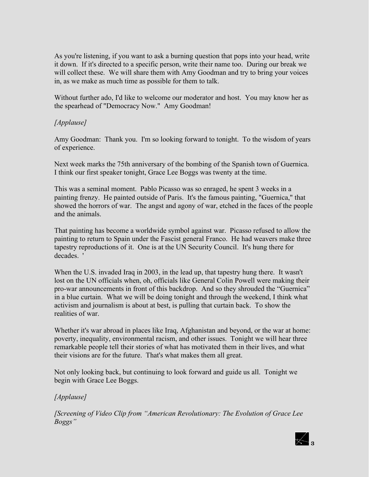As you're listening, if you want to ask a burning question that pops into your head, write it down. If it's directed to a specific person, write their name too. During our break we will collect these. We will share them with Amy Goodman and try to bring your voices in, as we make as much time as possible for them to talk.

Without further ado, I'd like to welcome our moderator and host. You may know her as the spearhead of "Democracy Now." Amy Goodman!

### *[Applause]*

Amy Goodman: Thank you. I'm so looking forward to tonight. To the wisdom of years of experience.

Next week marks the 75th anniversary of the bombing of the Spanish town of Guernica. I think our first speaker tonight, Grace Lee Boggs was twenty at the time.

This was a seminal moment. Pablo Picasso was so enraged, he spent 3 weeks in a painting frenzy. He painted outside of Paris. It's the famous painting, "Guernica," that showed the horrors of war. The angst and agony of war, etched in the faces of the people and the animals.

That painting has become a worldwide symbol against war. Picasso refused to allow the painting to return to Spain under the Fascist general Franco. He had weavers make three tapestry reproductions of it. One is at the UN Security Council. It's hung there for decades. '

When the U.S. invaded Iraq in 2003, in the lead up, that tapestry hung there. It wasn't lost on the UN officials when, oh, officials like General Colin Powell were making their pro-war announcements in front of this backdrop. And so they shrouded the "Guernica" in a blue curtain. What we will be doing tonight and through the weekend, I think what activism and journalism is about at best, is pulling that curtain back. To show the realities of war.

Whether it's war abroad in places like Iraq, Afghanistan and beyond, or the war at home: poverty, inequality, environmental racism, and other issues. Tonight we will hear three remarkable people tell their stories of what has motivated them in their lives, and what their visions are for the future. That's what makes them all great.

Not only looking back, but continuing to look forward and guide us all. Tonight we begin with Grace Lee Boggs.

### *[Applause]*

*[Screening of Video Clip from "American Revolutionary: The Evolution of Grace Lee Boggs"*

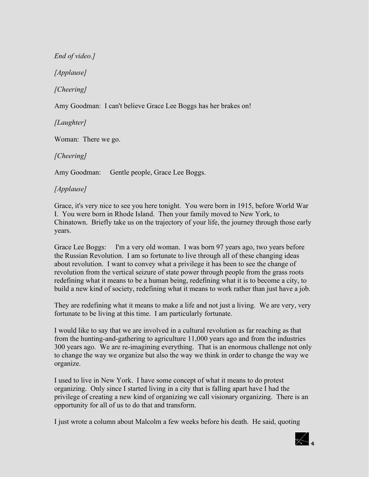*End of video.] [Applause] [Cheering]*

Amy Goodman: I can't believe Grace Lee Boggs has her brakes on!

*[Laughter]* 

Woman: There we go.

*[Cheering]* 

Amy Goodman: Gentle people, Grace Lee Boggs.

# *[Applause]*

Grace, it's very nice to see you here tonight. You were born in 1915, before World War I. You were born in Rhode Island. Then your family moved to New York, to Chinatown. Briefly take us on the trajectory of your life, the journey through those early years.

Grace Lee Boggs: I'm a very old woman. I was born 97 years ago, two years before the Russian Revolution. I am so fortunate to live through all of these changing ideas about revolution. I want to convey what a privilege it has been to see the change of revolution from the vertical seizure of state power through people from the grass roots redefining what it means to be a human being, redefining what it is to become a city, to build a new kind of society, redefining what it means to work rather than just have a job.

They are redefining what it means to make a life and not just a living. We are very, very fortunate to be living at this time. I am particularly fortunate.

I would like to say that we are involved in a cultural revolution as far reaching as that from the hunting-and-gathering to agriculture 11,000 years ago and from the industries 300 years ago. We are re-imagining everything. That is an enormous challenge not only to change the way we organize but also the way we think in order to change the way we organize.

I used to live in New York. I have some concept of what it means to do protest organizing. Only since I started living in a city that is falling apart have I had the privilege of creating a new kind of organizing we call visionary organizing. There is an opportunity for all of us to do that and transform.

I just wrote a column about Malcolm a few weeks before his death. He said, quoting

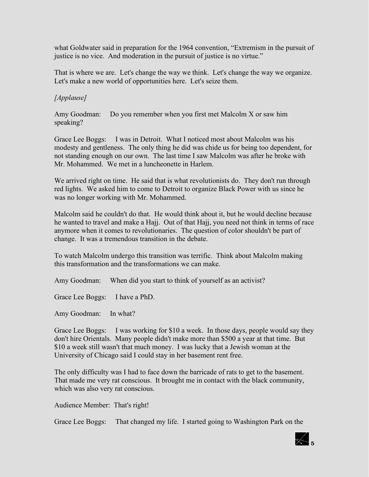what Goldwater said in preparation for the 1964 convention, "Extremism in the pursuit of justice is no vice. And moderation in the pursuit of justice is no virtue."

That is where we are. Let's change the way we think. Let's change the way we organize. Let's make a new world of opportunities here. Let's seize them.

### *[Applause]*

Amy Goodman: Do you remember when you first met Malcolm X or saw him speaking?

Grace Lee Boggs: I was in Detroit. What I noticed most about Malcolm was his modesty and gentleness. The only thing he did was chide us for being too dependent, for not standing enough on our own. The last time I saw Malcolm was after he broke with Mr. Mohammed. We met in a luncheonette in Harlem.

We arrived right on time. He said that is what revolutionists do. They don't run through red lights. We asked him to come to Detroit to organize Black Power with us since he was no longer working with Mr. Mohammed.

Malcolm said he couldn't do that. He would think about it, but he would decline because he wanted to travel and make a Hajj. Out of that Hajj, you need not think in terms of race anymore when it comes to revolutionaries. The question of color shouldn't be part of change. It was a tremendous transition in the debate.

To watch Malcolm undergo this transition was terrific. Think about Malcolm making this transformation and the transformations we can make.

Amy Goodman: When did you start to think of yourself as an activist?

Grace Lee Boggs: I have a PhD.

Amy Goodman: In what?

Grace Lee Boggs: I was working for \$10 a week. In those days, people would say they don't hire Orientals. Many people didn't make more than \$500 a year at that time. But \$10 a week still wasn't that much money. I was lucky that a Jewish woman at the University of Chicago said I could stay in her basement rent free.

The only difficulty was I had to face down the barricade of rats to get to the basement. That made me very rat conscious. It brought me in contact with the black community, which was also very rat conscious.

Audience Member: That's right!

Grace Lee Boggs: That changed my life. I started going to Washington Park on the

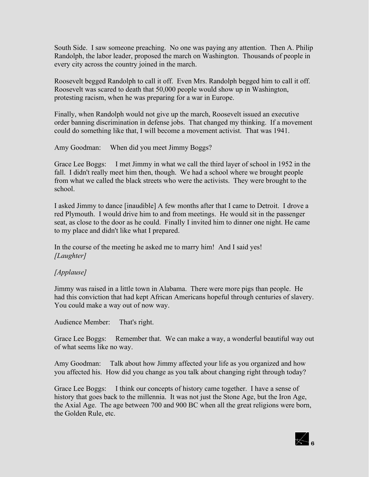South Side. I saw someone preaching. No one was paying any attention. Then A. Philip Randolph, the labor leader, proposed the march on Washington. Thousands of people in every city across the country joined in the march.

Roosevelt begged Randolph to call it off. Even Mrs. Randolph begged him to call it off. Roosevelt was scared to death that 50,000 people would show up in Washington, protesting racism, when he was preparing for a war in Europe.

Finally, when Randolph would not give up the march, Roosevelt issued an executive order banning discrimination in defense jobs. That changed my thinking. If a movement could do something like that, I will become a movement activist. That was 1941.

Amy Goodman: When did you meet Jimmy Boggs?

Grace Lee Boggs: I met Jimmy in what we call the third layer of school in 1952 in the fall. I didn't really meet him then, though. We had a school where we brought people from what we called the black streets who were the activists. They were brought to the school.

I asked Jimmy to dance [inaudible] A few months after that I came to Detroit. I drove a red Plymouth. I would drive him to and from meetings. He would sit in the passenger seat, as close to the door as he could. Finally I invited him to dinner one night. He came to my place and didn't like what I prepared.

In the course of the meeting he asked me to marry him! And I said yes! *[Laughter]*

#### *[Applause]*

Jimmy was raised in a little town in Alabama. There were more pigs than people. He had this conviction that had kept African Americans hopeful through centuries of slavery. You could make a way out of now way.

Audience Member: That's right.

Grace Lee Boggs: Remember that. We can make a way, a wonderful beautiful way out of what seems like no way.

Amy Goodman: Talk about how Jimmy affected your life as you organized and how you affected his. How did you change as you talk about changing right through today?

Grace Lee Boggs: I think our concepts of history came together. I have a sense of history that goes back to the millennia. It was not just the Stone Age, but the Iron Age, the Axial Age. The age between 700 and 900 BC when all the great religions were born, the Golden Rule, etc.

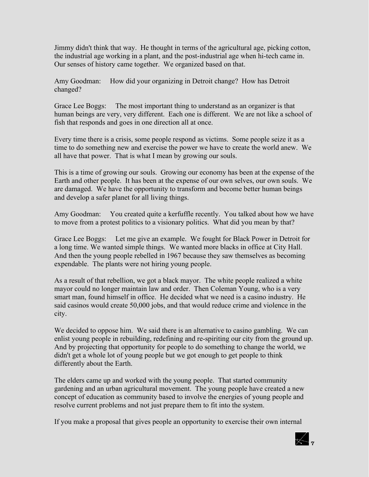Jimmy didn't think that way. He thought in terms of the agricultural age, picking cotton, the industrial age working in a plant, and the post-industrial age when hi-tech came in. Our senses of history came together. We organized based on that.

Amy Goodman: How did your organizing in Detroit change? How has Detroit changed?

Grace Lee Boggs: The most important thing to understand as an organizer is that human beings are very, very different. Each one is different. We are not like a school of fish that responds and goes in one direction all at once.

Every time there is a crisis, some people respond as victims. Some people seize it as a time to do something new and exercise the power we have to create the world anew. We all have that power. That is what I mean by growing our souls.

This is a time of growing our souls. Growing our economy has been at the expense of the Earth and other people. It has been at the expense of our own selves, our own souls. We are damaged. We have the opportunity to transform and become better human beings and develop a safer planet for all living things.

Amy Goodman: You created quite a kerfuffle recently. You talked about how we have to move from a protest politics to a visionary politics. What did you mean by that?

Grace Lee Boggs: Let me give an example. We fought for Black Power in Detroit for a long time. We wanted simple things. We wanted more blacks in office at City Hall. And then the young people rebelled in 1967 because they saw themselves as becoming expendable. The plants were not hiring young people.

As a result of that rebellion, we got a black mayor. The white people realized a white mayor could no longer maintain law and order. Then Coleman Young, who is a very smart man, found himself in office. He decided what we need is a casino industry. He said casinos would create 50,000 jobs, and that would reduce crime and violence in the city.

We decided to oppose him. We said there is an alternative to casino gambling. We can enlist young people in rebuilding, redefining and re-spiriting our city from the ground up. And by projecting that opportunity for people to do something to change the world, we didn't get a whole lot of young people but we got enough to get people to think differently about the Earth.

The elders came up and worked with the young people. That started community gardening and an urban agricultural movement. The young people have created a new concept of education as community based to involve the energies of young people and resolve current problems and not just prepare them to fit into the system.

If you make a proposal that gives people an opportunity to exercise their own internal

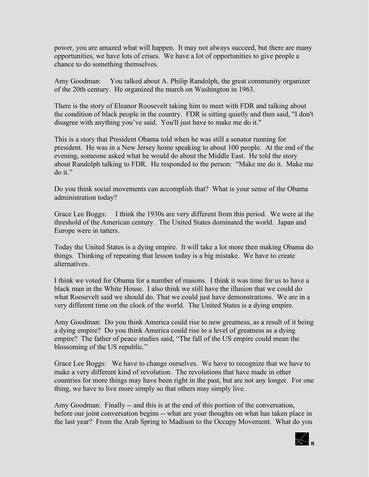power, you are amazed what will happen. It may not always succeed, but there are many opportunities, we have lots of crises. We have a lot of opportunities to give people a chance to do something themselves.

Amy Goodman: You talked about A. Philip Randolph, the great community organizer of the 20th century. He organized the march on Washington in 1963.

There is the story of Eleanor Roosevelt taking him to meet with FDR and talking about the condition of black people in the country. FDR is sitting quietly and then said, "I don't disagree with anything you've said. You'll just have to make me do it."

This is a story that President Obama told when he was still a senator running for president. He was in a New Jersey home speaking to about 100 people. At the end of the evening, someone asked what he would do about the Middle East. He told the story about Randolph talking to FDR. He responded to the person: "Make me do it. Make me do it."

Do you think social movements can accomplish that? What is your sense of the Obama administration today?

Grace Lee Boggs: I think the 1930s are very different from this period. We were at the threshold of the American century. The United States dominated the world. Japan and Europe were in tatters.

Today the United States is a dying empire. It will take a lot more then making Obama do things. Thinking of repeating that lesson today is a big mistake. We have to create alternatives.

I think we voted for Obama for a number of reasons. I think it was time for us to have a black man in the White House. I also think we still have the illusion that we could do what Roosevelt said we should do. That we could just have demonstrations. We are in a very different time on the clock of the world. The United States is a dying empire.

Amy Goodman: Do you think America could rise to new greatness, as a result of it being a dying empire? Do you think America could rise to a level of greatness as a dying empire? The father of peace studies said, "The fall of the US empire could mean the blossoming of the US republic."

Grace Lee Boggs: We have to change ourselves. We have to recognize that we have to make a very different kind of revolution. The revolutions that have made in other countries for more things may have been right in the past, but are not any longer. For one thing, we have to live more simply so that others may simply live.

Amy Goodman: Finally -- and this is at the end of this portion of the conversation, before our joint conversation begins -- what are your thoughts on what has taken place in the last year? From the Arab Spring to Madison to the Occupy Movement. What do you

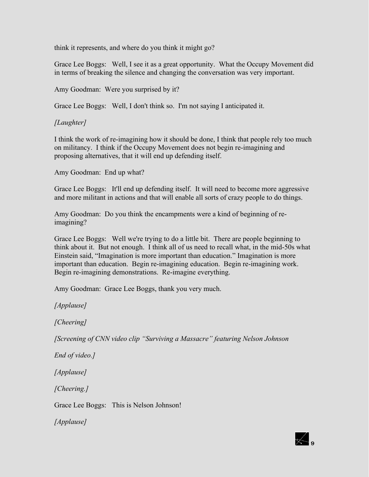think it represents, and where do you think it might go?

Grace Lee Boggs: Well, I see it as a great opportunity. What the Occupy Movement did in terms of breaking the silence and changing the conversation was very important.

Amy Goodman: Were you surprised by it?

Grace Lee Boggs: Well, I don't think so. I'm not saying I anticipated it.

#### *[Laughter]*

I think the work of re-imagining how it should be done, I think that people rely too much on militancy. I think if the Occupy Movement does not begin re-imagining and proposing alternatives, that it will end up defending itself.

Amy Goodman: End up what?

Grace Lee Boggs: It'll end up defending itself. It will need to become more aggressive and more militant in actions and that will enable all sorts of crazy people to do things.

Amy Goodman: Do you think the encampments were a kind of beginning of reimagining?

Grace Lee Boggs: Well we're trying to do a little bit. There are people beginning to think about it. But not enough. I think all of us need to recall what, in the mid-50s what Einstein said, "Imagination is more important than education." Imagination is more important than education. Begin re-imagining education. Begin re-imagining work. Begin re-imagining demonstrations. Re-imagine everything.

Amy Goodman: Grace Lee Boggs, thank you very much.

*[Applause]* 

*[Cheering]* 

*[Screening of CNN video clip "Surviving a Massacre" featuring Nelson Johnson*

*End of video.]* 

*[Applause]* 

*[Cheering.]* 

Grace Lee Boggs: This is Nelson Johnson!

*[Applause]* 

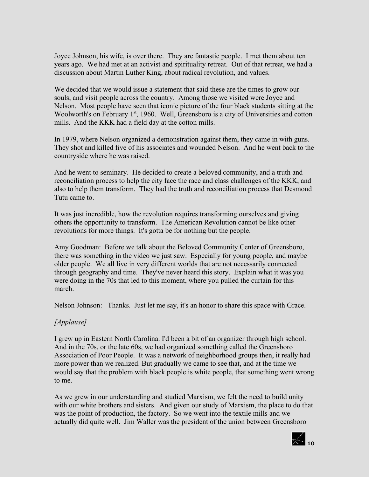Joyce Johnson, his wife, is over there. They are fantastic people. I met them about ten years ago. We had met at an activist and spirituality retreat. Out of that retreat, we had a discussion about Martin Luther King, about radical revolution, and values.

We decided that we would issue a statement that said these are the times to grow our souls, and visit people across the country. Among those we visited were Joyce and Nelson. Most people have seen that iconic picture of the four black students sitting at the Woolworth's on February 1<sup>st</sup>, 1960. Well, Greensboro is a city of Universities and cotton mills. And the KKK had a field day at the cotton mills.

In 1979, where Nelson organized a demonstration against them, they came in with guns. They shot and killed five of his associates and wounded Nelson. And he went back to the countryside where he was raised.

And he went to seminary. He decided to create a beloved community, and a truth and reconciliation process to help the city face the race and class challenges of the KKK, and also to help them transform. They had the truth and reconciliation process that Desmond Tutu came to.

It was just incredible, how the revolution requires transforming ourselves and giving others the opportunity to transform. The American Revolution cannot be like other revolutions for more things. It's gotta be for nothing but the people.

Amy Goodman: Before we talk about the Beloved Community Center of Greensboro, there was something in the video we just saw. Especially for young people, and maybe older people. We all live in very different worlds that are not necessarily connected through geography and time. They've never heard this story. Explain what it was you were doing in the 70s that led to this moment, where you pulled the curtain for this march.

Nelson Johnson: Thanks. Just let me say, it's an honor to share this space with Grace.

### *[Applause]*

I grew up in Eastern North Carolina. I'd been a bit of an organizer through high school. And in the 70s, or the late 60s, we had organized something called the Greensboro Association of Poor People. It was a network of neighborhood groups then, it really had more power than we realized. But gradually we came to see that, and at the time we would say that the problem with black people is white people, that something went wrong to me.

As we grew in our understanding and studied Marxism, we felt the need to build unity with our white brothers and sisters. And given our study of Marxism, the place to do that was the point of production, the factory. So we went into the textile mills and we actually did quite well. Jim Waller was the president of the union between Greensboro

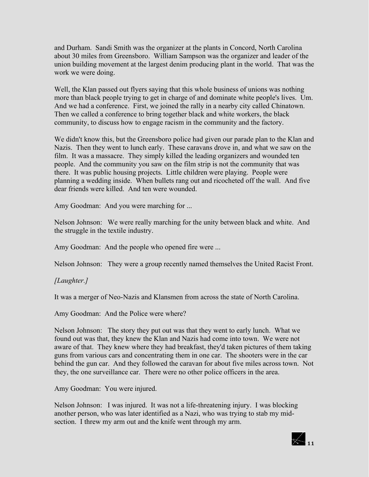and Durham. Sandi Smith was the organizer at the plants in Concord, North Carolina about 30 miles from Greensboro. William Sampson was the organizer and leader of the union building movement at the largest denim producing plant in the world. That was the work we were doing.

Well, the Klan passed out flyers saying that this whole business of unions was nothing more than black people trying to get in charge of and dominate white people's lives. Um. And we had a conference. First, we joined the rally in a nearby city called Chinatown. Then we called a conference to bring together black and white workers, the black community, to discuss how to engage racism in the community and the factory.

We didn't know this, but the Greensboro police had given our parade plan to the Klan and Nazis. Then they went to lunch early. These caravans drove in, and what we saw on the film. It was a massacre. They simply killed the leading organizers and wounded ten people. And the community you saw on the film strip is not the community that was there. It was public housing projects. Little children were playing. People were planning a wedding inside. When bullets rang out and ricocheted off the wall. And five dear friends were killed. And ten were wounded.

Amy Goodman: And you were marching for ...

Nelson Johnson: We were really marching for the unity between black and white. And the struggle in the textile industry.

Amy Goodman: And the people who opened fire were ...

Nelson Johnson: They were a group recently named themselves the United Racist Front.

#### *[Laughter.]*

It was a merger of Neo-Nazis and Klansmen from across the state of North Carolina.

Amy Goodman: And the Police were where?

Nelson Johnson: The story they put out was that they went to early lunch. What we found out was that, they knew the Klan and Nazis had come into town. We were not aware of that. They knew where they had breakfast, they'd taken pictures of them taking guns from various cars and concentrating them in one car. The shooters were in the car behind the gun car. And they followed the caravan for about five miles across town. Not they, the one surveillance car. There were no other police officers in the area.

Amy Goodman: You were injured.

Nelson Johnson: I was injured. It was not a life-threatening injury. I was blocking another person, who was later identified as a Nazi, who was trying to stab my midsection. I threw my arm out and the knife went through my arm.

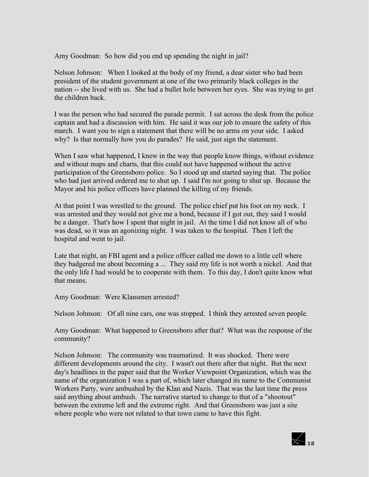Amy Goodman: So how did you end up spending the night in jail?

Nelson Johnson: When I looked at the body of my friend, a dear sister who had been president of the student government at one of the two primarily black colleges in the nation -- she lived with us. She had a bullet hole between her eyes. She was trying to get the children back.

I was the person who had secured the parade permit. I sat across the desk from the police captain and had a discussion with him. He said it was our job to ensure the safety of this march. I want you to sign a statement that there will be no arms on your side. I asked why? Is that normally how you do parades? He said, just sign the statement.

When I saw what happened, I knew in the way that people know things, without evidence and without maps and charts, that this could not have happened without the active participation of the Greensboro police. So I stood up and started saying that. The police who had just arrived ordered me to shut up. I said I'm not going to shut up. Because the Mayor and his police officers have planned the killing of my friends.

At that point I was wrestled to the ground. The police chief put his foot on my neck. I was arrested and they would not give me a bond, because if I got out, they said I would be a danger. That's how I spent that night in jail. At the time I did not know all of who was dead, so it was an agonizing night. I was taken to the hospital. Then I left the hospital and went to jail.

Late that night, an FBI agent and a police officer called me down to a little cell where they badgered me about becoming a ... They said my life is not worth a nickel. And that the only life I had would be to cooperate with them. To this day, I don't quite know what that means.

Amy Goodman: Were Klansmen arrested?

Nelson Johnson: Of all nine cars, one was stopped. I think they arrested seven people.

Amy Goodman: What happened to Greensboro after that? What was the response of the community?

Nelson Johnson: The community was traumatized. It was shocked. There were different developments around the city. I wasn't out there after that night. But the next day's headlines in the paper said that the Worker Viewpoint Organization, which was the name of the organization I was a part of, which later changed its name to the Communist Workers Party, were ambushed by the Klan and Nazis. That was the last time the press said anything about ambush. The narrative started to change to that of a "shootout" between the extreme left and the extreme right. And that Greensboro was just a site where people who were not related to that town came to have this fight.

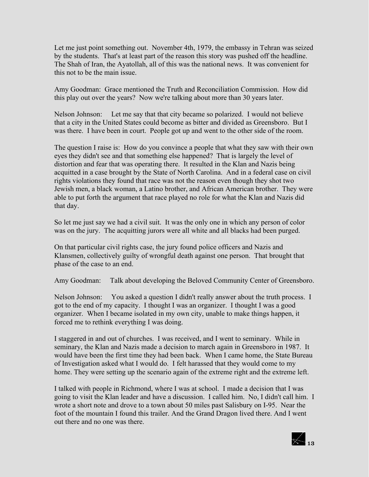Let me just point something out. November 4th, 1979, the embassy in Tehran was seized by the students. That's at least part of the reason this story was pushed off the headline. The Shah of Iran, the Ayatollah, all of this was the national news. It was convenient for this not to be the main issue.

Amy Goodman: Grace mentioned the Truth and Reconciliation Commission. How did this play out over the years? Now we're talking about more than 30 years later.

Nelson Johnson: Let me say that that city became so polarized. I would not believe that a city in the United States could become as bitter and divided as Greensboro. But I was there. I have been in court. People got up and went to the other side of the room.

The question I raise is: How do you convince a people that what they saw with their own eyes they didn't see and that something else happened? That is largely the level of distortion and fear that was operating there. It resulted in the Klan and Nazis being acquitted in a case brought by the State of North Carolina. And in a federal case on civil rights violations they found that race was not the reason even though they shot two Jewish men, a black woman, a Latino brother, and African American brother. They were able to put forth the argument that race played no role for what the Klan and Nazis did that day.

So let me just say we had a civil suit. It was the only one in which any person of color was on the jury. The acquitting jurors were all white and all blacks had been purged.

On that particular civil rights case, the jury found police officers and Nazis and Klansmen, collectively guilty of wrongful death against one person. That brought that phase of the case to an end.

Amy Goodman: Talk about developing the Beloved Community Center of Greensboro.

Nelson Johnson: You asked a question I didn't really answer about the truth process. I got to the end of my capacity. I thought I was an organizer. I thought I was a good organizer. When I became isolated in my own city, unable to make things happen, it forced me to rethink everything I was doing.

I staggered in and out of churches. I was received, and I went to seminary. While in seminary, the Klan and Nazis made a decision to march again in Greensboro in 1987. It would have been the first time they had been back. When I came home, the State Bureau of Investigation asked what I would do. I felt harassed that they would come to my home. They were setting up the scenario again of the extreme right and the extreme left.

I talked with people in Richmond, where I was at school. I made a decision that I was going to visit the Klan leader and have a discussion. I called him. No, I didn't call him. I wrote a short note and drove to a town about 50 miles past Salisbury on I-95. Near the foot of the mountain I found this trailer. And the Grand Dragon lived there. And I went out there and no one was there.

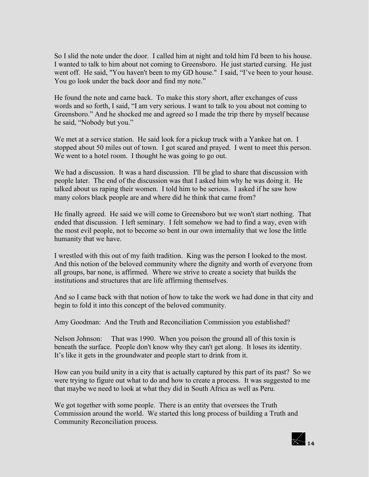So I slid the note under the door. I called him at night and told him I'd been to his house. I wanted to talk to him about not coming to Greensboro. He just started cursing. He just went off. He said, "You haven't been to my GD house." I said, "I've been to your house. You go look under the back door and find my note."

He found the note and came back. To make this story short, after exchanges of cuss words and so forth, I said, "I am very serious. I want to talk to you about not coming to Greensboro." And he shocked me and agreed so I made the trip there by myself because he said, "Nobody but you."

We met at a service station. He said look for a pickup truck with a Yankee hat on. I stopped about 50 miles out of town. I got scared and prayed. I went to meet this person. We went to a hotel room. I thought he was going to go out.

We had a discussion. It was a hard discussion. I'll be glad to share that discussion with people later. The end of the discussion was that I asked him why he was doing it. He talked about us raping their women. I told him to be serious. I asked if he saw how many colors black people are and where did he think that came from?

He finally agreed. He said we will come to Greensboro but we won't start nothing. That ended that discussion. I left seminary. I felt somehow we had to find a way, even with the most evil people, not to become so bent in our own internality that we lose the little humanity that we have.

I wrestled with this out of my faith tradition. King was the person I looked to the most. And this notion of the beloved community where the dignity and worth of everyone from all groups, bar none, is affirmed. Where we strive to create a society that builds the institutions and structures that are life affirming themselves.

And so I came back with that notion of how to take the work we had done in that city and begin to fold it into this concept of the beloved community.

Amy Goodman: And the Truth and Reconciliation Commission you established?

Nelson Johnson: That was 1990. When you poison the ground all of this toxin is beneath the surface. People don't know why they can't get along. It loses its identity. It's like it gets in the groundwater and people start to drink from it.

How can you build unity in a city that is actually captured by this part of its past? So we were trying to figure out what to do and how to create a process. It was suggested to me that maybe we need to look at what they did in South Africa as well as Peru.

We got together with some people. There is an entity that oversees the Truth Commission around the world. We started this long process of building a Truth and Community Reconciliation process.

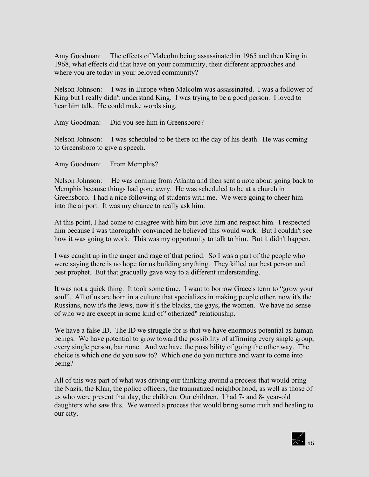Amy Goodman: The effects of Malcolm being assassinated in 1965 and then King in 1968, what effects did that have on your community, their different approaches and where you are today in your beloved community?

Nelson Johnson: I was in Europe when Malcolm was assassinated. I was a follower of King but I really didn't understand King. I was trying to be a good person. I loved to hear him talk. He could make words sing.

Amy Goodman: Did you see him in Greensboro?

Nelson Johnson: I was scheduled to be there on the day of his death. He was coming to Greensboro to give a speech.

Amy Goodman: From Memphis?

Nelson Johnson: He was coming from Atlanta and then sent a note about going back to Memphis because things had gone awry. He was scheduled to be at a church in Greensboro. I had a nice following of students with me. We were going to cheer him into the airport. It was my chance to really ask him.

At this point, I had come to disagree with him but love him and respect him. I respected him because I was thoroughly convinced he believed this would work. But I couldn't see how it was going to work. This was my opportunity to talk to him. But it didn't happen.

I was caught up in the anger and rage of that period. So I was a part of the people who were saying there is no hope for us building anything. They killed our best person and best prophet. But that gradually gave way to a different understanding.

It was not a quick thing. It took some time. I want to borrow Grace's term to "grow your soul". All of us are born in a culture that specializes in making people other, now it's the Russians, now it's the Jews, now it's the blacks, the gays, the women. We have no sense of who we are except in some kind of "otherized" relationship.

We have a false ID. The ID we struggle for is that we have enormous potential as human beings. We have potential to grow toward the possibility of affirming every single group, every single person, bar none. And we have the possibility of going the other way. The choice is which one do you sow to? Which one do you nurture and want to come into being?

All of this was part of what was driving our thinking around a process that would bring the Nazis, the Klan, the police officers, the traumatized neighborhood, as well as those of us who were present that day, the children. Our children. I had 7- and 8- year-old daughters who saw this. We wanted a process that would bring some truth and healing to our city.

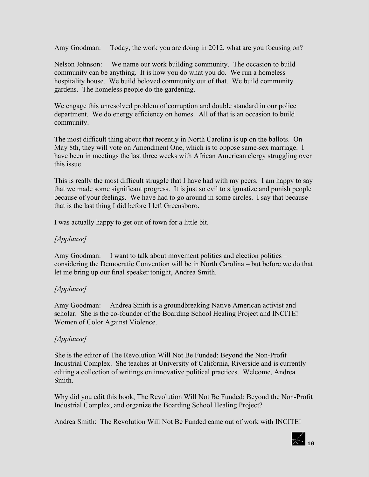Amy Goodman: Today, the work you are doing in 2012, what are you focusing on?

Nelson Johnson: We name our work building community. The occasion to build community can be anything. It is how you do what you do. We run a homeless hospitality house. We build beloved community out of that. We build community gardens. The homeless people do the gardening.

We engage this unresolved problem of corruption and double standard in our police department. We do energy efficiency on homes. All of that is an occasion to build community.

The most difficult thing about that recently in North Carolina is up on the ballots. On May 8th, they will vote on Amendment One, which is to oppose same-sex marriage. I have been in meetings the last three weeks with African American clergy struggling over this issue.

This is really the most difficult struggle that I have had with my peers. I am happy to say that we made some significant progress. It is just so evil to stigmatize and punish people because of your feelings. We have had to go around in some circles. I say that because that is the last thing I did before I left Greensboro.

I was actually happy to get out of town for a little bit.

### *[Applause]*

Amy Goodman: I want to talk about movement politics and election politics – considering the Democratic Convention will be in North Carolina – but before we do that let me bring up our final speaker tonight, Andrea Smith.

### *[Applause]*

Amy Goodman: Andrea Smith is a groundbreaking Native American activist and scholar. She is the co-founder of the Boarding School Healing Project and INCITE! Women of Color Against Violence.

### *[Applause]*

She is the editor of The Revolution Will Not Be Funded: Beyond the Non-Profit Industrial Complex. She teaches at University of California, Riverside and is currently editing a collection of writings on innovative political practices. Welcome, Andrea Smith.

Why did you edit this book, The Revolution Will Not Be Funded: Beyond the Non-Profit Industrial Complex, and organize the Boarding School Healing Project?

Andrea Smith: The Revolution Will Not Be Funded came out of work with INCITE!

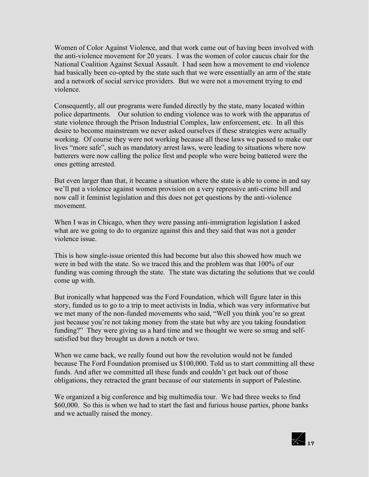Women of Color Against Violence, and that work came out of having been involved with the anti-violence movement for 20 years. I was the women of color caucus chair for the National Coalition Against Sexual Assault. I had seen how a movement to end violence had basically been co-opted by the state such that we were essentially an arm of the state and a network of social service providers. But we were not a movement trying to end violence.

Consequently, all our programs were funded directly by the state, many located within police departments. Our solution to ending violence was to work with the apparatus of state violence through the Prison Industrial Complex, law enforcement, etc. In all this desire to become mainstream we never asked ourselves if these strategies were actually working. Of course they were not working because all these laws we passed to make our lives "more safe", such as mandatory arrest laws, were leading to situations where now batterers were now calling the police first and people who were being battered were the ones getting arrested.

But even larger than that, it became a situation where the state is able to come in and say we'll put a violence against women provision on a very repressive anti-crime bill and now call it feminist legislation and this does not get questions by the anti-violence movement.

When I was in Chicago, when they were passing anti-immigration legislation I asked what are we going to do to organize against this and they said that was not a gender violence issue.

This is how single-issue oriented this had become but also this showed how much we were in bed with the state. So we traced this and the problem was that 100% of our funding was coming through the state. The state was dictating the solutions that we could come up with.

But ironically what happened was the Ford Foundation, which will figure later in this story, funded us to go to a trip to meet activists in India, which was very informative but we met many of the non-funded movements who said, "Well you think you're so great just because you're not taking money from the state but why are you taking foundation funding?" They were giving us a hard time and we thought we were so smug and selfsatisfied but they brought us down a notch or two.

When we came back, we really found out how the revolution would not be funded because The Ford Foundation promised us \$100,000. Told us to start committing all these funds. And after we committed all these funds and couldn't get back out of those obligations, they retracted the grant because of our statements in support of Palestine.

We organized a big conference and big multimedia tour. We had three weeks to find \$60,000. So this is when we had to start the fast and furious house parties, phone banks and we actually raised the money.

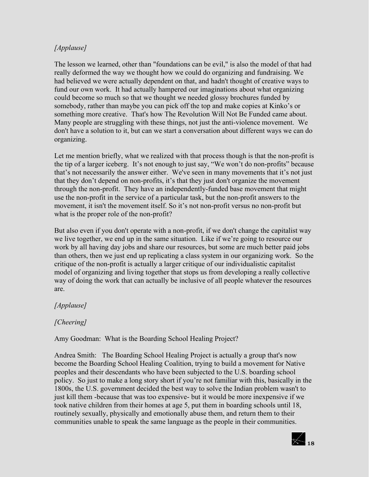### *[Applause]*

The lesson we learned, other than "foundations can be evil," is also the model of that had really deformed the way we thought how we could do organizing and fundraising. We had believed we were actually dependent on that, and hadn't thought of creative ways to fund our own work. It had actually hampered our imaginations about what organizing could become so much so that we thought we needed glossy brochures funded by somebody, rather than maybe you can pick off the top and make copies at Kinko's or something more creative. That's how The Revolution Will Not Be Funded came about. Many people are struggling with these things, not just the anti-violence movement. We don't have a solution to it, but can we start a conversation about different ways we can do organizing.

Let me mention briefly, what we realized with that process though is that the non-profit is the tip of a larger iceberg. It's not enough to just say, "We won't do non-profits" because that's not necessarily the answer either. We've seen in many movements that it's not just that they don't depend on non-profits, it's that they just don't organize the movement through the non-profit. They have an independently-funded base movement that might use the non-profit in the service of a particular task, but the non-profit answers to the movement, it isn't the movement itself. So it's not non-profit versus no non-profit but what is the proper role of the non-profit?

But also even if you don't operate with a non-profit, if we don't change the capitalist way we live together, we end up in the same situation. Like if we're going to resource our work by all having day jobs and share our resources, but some are much better paid jobs than others, then we just end up replicating a class system in our organizing work. So the critique of the non-profit is actually a larger critique of our individualistic capitalist model of organizing and living together that stops us from developing a really collective way of doing the work that can actually be inclusive of all people whatever the resources are.

### *[Applause]*

### *[Cheering]*

Amy Goodman: What is the Boarding School Healing Project?

Andrea Smith: The Boarding School Healing Project is actually a group that's now become the Boarding School Healing Coalition, trying to build a movement for Native peoples and their descendants who have been subjected to the U.S. boarding school policy. So just to make a long story short if you're not familiar with this, basically in the 1800s, the U.S. government decided the best way to solve the Indian problem wasn't to just kill them -because that was too expensive- but it would be more inexpensive if we took native children from their homes at age 5, put them in boarding schools until 18, routinely sexually, physically and emotionally abuse them, and return them to their communities unable to speak the same language as the people in their communities.

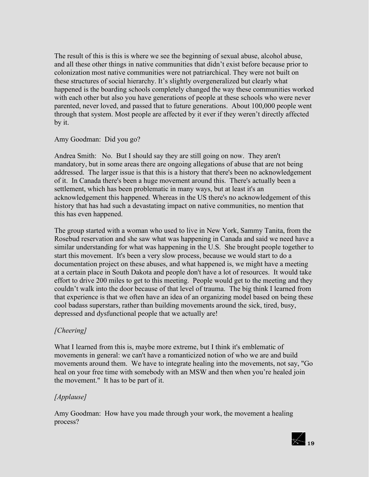The result of this is this is where we see the beginning of sexual abuse, alcohol abuse, and all these other things in native communities that didn't exist before because prior to colonization most native communities were not patriarchical. They were not built on these structures of social hierarchy. It's slightly overgeneralized but clearly what happened is the boarding schools completely changed the way these communities worked with each other but also you have generations of people at these schools who were never parented, never loved, and passed that to future generations. About 100,000 people went through that system. Most people are affected by it ever if they weren't directly affected by it.

Amy Goodman: Did you go?

Andrea Smith: No. But I should say they are still going on now. They aren't mandatory, but in some areas there are ongoing allegations of abuse that are not being addressed. The larger issue is that this is a history that there's been no acknowledgement of it. In Canada there's been a huge movement around this. There's actually been a settlement, which has been problematic in many ways, but at least it's an acknowledgement this happened. Whereas in the US there's no acknowledgement of this history that has had such a devastating impact on native communities, no mention that this has even happened.

The group started with a woman who used to live in New York, Sammy Tanita, from the Rosebud reservation and she saw what was happening in Canada and said we need have a similar understanding for what was happening in the U.S. She brought people together to start this movement. It's been a very slow process, because we would start to do a documentation project on these abuses, and what happened is, we might have a meeting at a certain place in South Dakota and people don't have a lot of resources. It would take effort to drive 200 miles to get to this meeting. People would get to the meeting and they couldn't walk into the door because of that level of trauma. The big think I learned from that experience is that we often have an idea of an organizing model based on being these cool badass superstars, rather than building movements around the sick, tired, busy, depressed and dysfunctional people that we actually are!

### *[Cheering]*

What I learned from this is, maybe more extreme, but I think it's emblematic of movements in general: we can't have a romanticized notion of who we are and build movements around them. We have to integrate healing into the movements, not say, "Go heal on your free time with somebody with an MSW and then when you're healed join the movement." It has to be part of it.

### *[Applause]*

Amy Goodman: How have you made through your work, the movement a healing process?

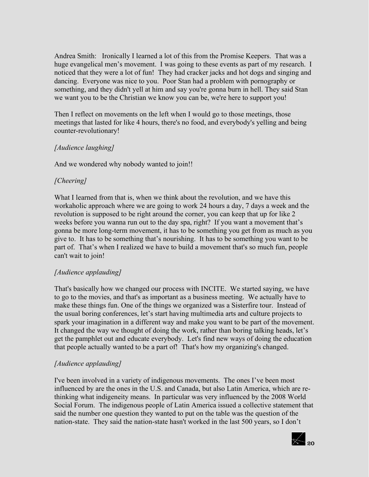Andrea Smith: Ironically I learned a lot of this from the Promise Keepers. That was a huge evangelical men's movement. I was going to these events as part of my research. I noticed that they were a lot of fun! They had cracker jacks and hot dogs and singing and dancing. Everyone was nice to you. Poor Stan had a problem with pornography or something, and they didn't yell at him and say you're gonna burn in hell. They said Stan we want you to be the Christian we know you can be, we're here to support you!

Then I reflect on movements on the left when I would go to those meetings, those meetings that lasted for like 4 hours, there's no food, and everybody's yelling and being counter-revolutionary!

#### *[Audience laughing]*

And we wondered why nobody wanted to join!!

### *[Cheering]*

What I learned from that is, when we think about the revolution, and we have this workaholic approach where we are going to work 24 hours a day, 7 days a week and the revolution is supposed to be right around the corner, you can keep that up for like 2 weeks before you wanna run out to the day spa, right? If you want a movement that's gonna be more long-term movement, it has to be something you get from as much as you give to. It has to be something that's nourishing. It has to be something you want to be part of. That's when I realized we have to build a movement that's so much fun, people can't wait to join!

#### *[Audience applauding]*

That's basically how we changed our process with INCITE. We started saying, we have to go to the movies, and that's as important as a business meeting. We actually have to make these things fun. One of the things we organized was a Sisterfire tour. Instead of the usual boring conferences, let's start having multimedia arts and culture projects to spark your imagination in a different way and make you want to be part of the movement. It changed the way we thought of doing the work, rather than boring talking heads, let's get the pamphlet out and educate everybody. Let's find new ways of doing the education that people actually wanted to be a part of! That's how my organizing's changed.

#### *[Audience applauding]*

I've been involved in a variety of indigenous movements. The ones I've been most influenced by are the ones in the U.S. and Canada, but also Latin America, which are rethinking what indigeneity means. In particular was very influenced by the 2008 World Social Forum. The indigenous people of Latin America issued a collective statement that said the number one question they wanted to put on the table was the question of the nation-state. They said the nation-state hasn't worked in the last 500 years, so I don't

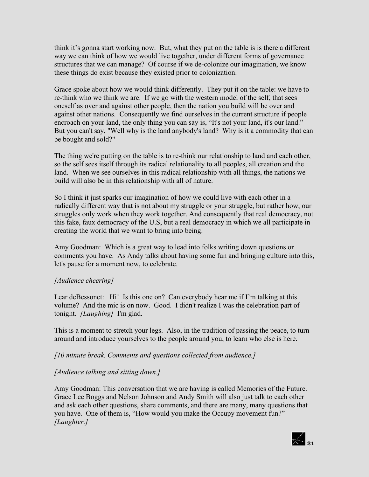think it's gonna start working now. But, what they put on the table is is there a different way we can think of how we would live together, under different forms of governance structures that we can manage? Of course if we de-colonize our imagination, we know these things do exist because they existed prior to colonization.

Grace spoke about how we would think differently. They put it on the table: we have to re-think who we think we are. If we go with the western model of the self, that sees oneself as over and against other people, then the nation you build will be over and against other nations. Consequently we find ourselves in the current structure if people encroach on your land, the only thing you can say is, "It's not your land, it's our land." But you can't say, "Well why is the land anybody's land? Why is it a commodity that can be bought and sold?"

The thing we're putting on the table is to re-think our relationship to land and each other, so the self sees itself through its radical relationality to all peoples, all creation and the land. When we see ourselves in this radical relationship with all things, the nations we build will also be in this relationship with all of nature.

So I think it just sparks our imagination of how we could live with each other in a radically different way that is not about my struggle or your struggle, but rather how, our struggles only work when they work together. And consequently that real democracy, not this fake, faux democracy of the U.S, but a real democracy in which we all participate in creating the world that we want to bring into being.

Amy Goodman: Which is a great way to lead into folks writing down questions or comments you have. As Andy talks about having some fun and bringing culture into this, let's pause for a moment now, to celebrate.

#### *[Audience cheering]*

Lear deBessonet: Hi! Is this one on? Can everybody hear me if I'm talking at this volume? And the mic is on now. Good. I didn't realize I was the celebration part of tonight. *[Laughing]* I'm glad.

This is a moment to stretch your legs. Also, in the tradition of passing the peace, to turn around and introduce yourselves to the people around you, to learn who else is here.

*[10 minute break. Comments and questions collected from audience.]*

#### *[Audience talking and sitting down.]*

Amy Goodman: This conversation that we are having is called Memories of the Future. Grace Lee Boggs and Nelson Johnson and Andy Smith will also just talk to each other and ask each other questions, share comments, and there are many, many questions that you have. One of them is, "How would you make the Occupy movement fun?" *[Laughter.]* 

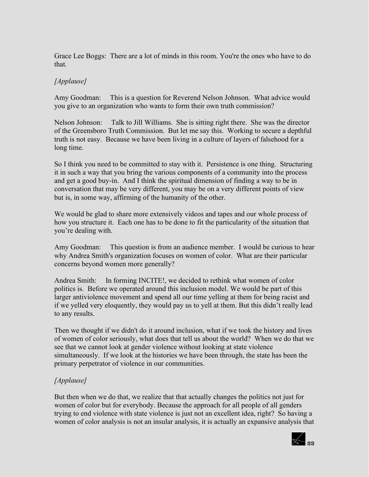Grace Lee Boggs: There are a lot of minds in this room. You're the ones who have to do that.

### *[Applause]*

Amy Goodman: This is a question for Reverend Nelson Johnson. What advice would you give to an organization who wants to form their own truth commission?

Nelson Johnson: Talk to Jill Williams. She is sitting right there. She was the director of the Greensboro Truth Commission. But let me say this. Working to secure a depthful truth is not easy. Because we have been living in a culture of layers of falsehood for a long time.

So I think you need to be committed to stay with it. Persistence is one thing. Structuring it in such a way that you bring the various components of a community into the process and get a good buy-in. And I think the spiritual dimension of finding a way to be in conversation that may be very different, you may be on a very different points of view but is, in some way, affirming of the humanity of the other.

We would be glad to share more extensively videos and tapes and our whole process of how you structure it. Each one has to be done to fit the particularity of the situation that you're dealing with.

Amy Goodman: This question is from an audience member. I would be curious to hear why Andrea Smith's organization focuses on women of color. What are their particular concerns beyond women more generally?

Andrea Smith: In forming INCITE!, we decided to rethink what women of color politics is. Before we operated around this inclusion model. We would be part of this larger antiviolence movement and spend all our time yelling at them for being racist and if we yelled very eloquently, they would pay us to yell at them. But this didn't really lead to any results.

Then we thought if we didn't do it around inclusion, what if we took the history and lives of women of color seriously, what does that tell us about the world? When we do that we see that we cannot look at gender violence without looking at state violence simultaneously. If we look at the histories we have been through, the state has been the primary perpetrator of violence in our communities.

### *[Applause]*

But then when we do that, we realize that that actually changes the politics not just for women of color but for everybody. Because the approach for all people of all genders trying to end violence with state violence is just not an excellent idea, right? So having a women of color analysis is not an insular analysis, it is actually an expansive analysis that

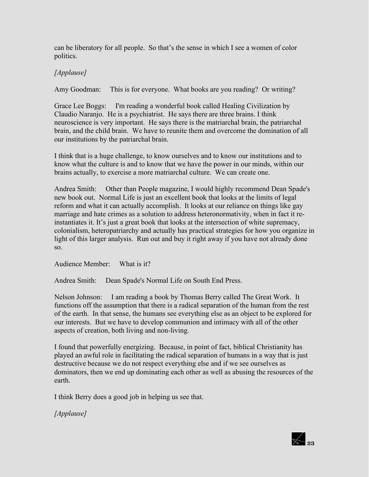can be liberatory for all people. So that's the sense in which I see a women of color politics.

### *[Applause]*

Amy Goodman: This is for everyone. What books are you reading? Or writing?

Grace Lee Boggs: I'm reading a wonderful book called Healing Civilization by Claudio Naranjo. He is a psychiatrist. He says there are three brains. I think neuroscience is very important. He says there is the matriarchal brain, the patriarchal brain, and the child brain. We have to reunite them and overcome the domination of all our institutions by the patriarchal brain.

I think that is a huge challenge, to know ourselves and to know our institutions and to know what the culture is and to know that we have the power in our minds, within our brains actually, to exercise a more matriarchal culture. We can create one.

Andrea Smith: Other than People magazine, I would highly recommend Dean Spade's new book out. Normal Life is just an excellent book that looks at the limits of legal reform and what it can actually accomplish. It looks at our reliance on things like gay marriage and hate crimes as a solution to address heteronormativity, when in fact it reinstantiates it. It's just a great book that looks at the intersection of white supremacy, colonialism, heteropatriarchy and actually has practical strategies for how you organize in light of this larger analysis. Run out and buy it right away if you have not already done so.

Audience Member: What is it?

Andrea Smith: Dean Spade's Normal Life on South End Press.

Nelson Johnson: I am reading a book by Thomas Berry called The Great Work. It functions off the assumption that there is a radical separation of the human from the rest of the earth. In that sense, the humans see everything else as an object to be explored for our interests. But we have to develop communion and intimacy with all of the other aspects of creation, both living and non-living.

I found that powerfully energizing. Because, in point of fact, biblical Christianity has played an awful role in facilitating the radical separation of humans in a way that is just destructive because we do not respect everything else and if we see ourselves as dominators, then we end up dominating each other as well as abusing the resources of the earth.

I think Berry does a good job in helping us see that.

*[Applause]*

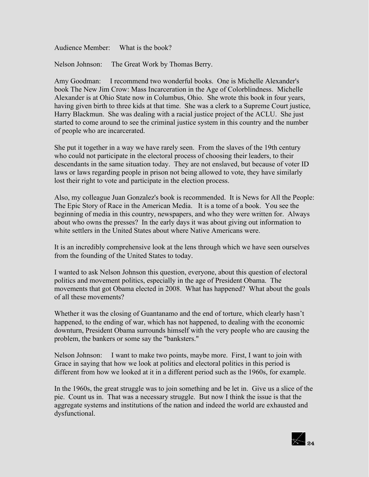Audience Member: What is the book?

Nelson Johnson: The Great Work by Thomas Berry.

Amy Goodman: I recommend two wonderful books. One is Michelle Alexander's book The New Jim Crow: Mass Incarceration in the Age of Colorblindness. Michelle Alexander is at Ohio State now in Columbus, Ohio. She wrote this book in four years, having given birth to three kids at that time. She was a clerk to a Supreme Court justice, Harry Blackmun. She was dealing with a racial justice project of the ACLU. She just started to come around to see the criminal justice system in this country and the number of people who are incarcerated.

She put it together in a way we have rarely seen. From the slaves of the 19th century who could not participate in the electoral process of choosing their leaders, to their descendants in the same situation today. They are not enslaved, but because of voter ID laws or laws regarding people in prison not being allowed to vote, they have similarly lost their right to vote and participate in the election process.

Also, my colleague Juan Gonzalez's book is recommended. It is News for All the People: The Epic Story of Race in the American Media. It is a tome of a book. You see the beginning of media in this country, newspapers, and who they were written for. Always about who owns the presses? In the early days it was about giving out information to white settlers in the United States about where Native Americans were.

It is an incredibly comprehensive look at the lens through which we have seen ourselves from the founding of the United States to today.

I wanted to ask Nelson Johnson this question, everyone, about this question of electoral politics and movement politics, especially in the age of President Obama. The movements that got Obama elected in 2008. What has happened? What about the goals of all these movements?

Whether it was the closing of Guantanamo and the end of torture, which clearly hasn't happened, to the ending of war, which has not happened, to dealing with the economic downturn, President Obama surrounds himself with the very people who are causing the problem, the bankers or some say the "banksters."

Nelson Johnson: I want to make two points, maybe more. First, I want to join with Grace in saying that how we look at politics and electoral politics in this period is different from how we looked at it in a different period such as the 1960s, for example.

In the 1960s, the great struggle was to join something and be let in. Give us a slice of the pie. Count us in. That was a necessary struggle. But now I think the issue is that the aggregate systems and institutions of the nation and indeed the world are exhausted and dysfunctional.

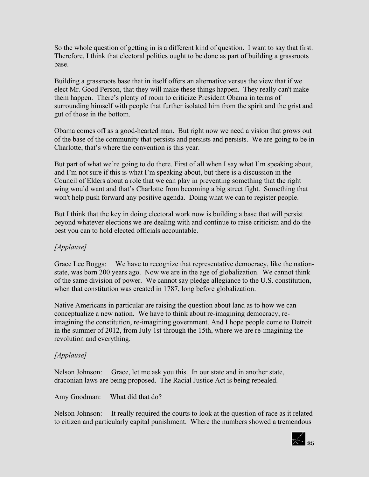So the whole question of getting in is a different kind of question. I want to say that first. Therefore, I think that electoral politics ought to be done as part of building a grassroots base.

Building a grassroots base that in itself offers an alternative versus the view that if we elect Mr. Good Person, that they will make these things happen. They really can't make them happen. There's plenty of room to criticize President Obama in terms of surrounding himself with people that further isolated him from the spirit and the grist and gut of those in the bottom.

Obama comes off as a good-hearted man. But right now we need a vision that grows out of the base of the community that persists and persists and persists. We are going to be in Charlotte, that's where the convention is this year.

But part of what we're going to do there. First of all when I say what I'm speaking about, and I'm not sure if this is what I'm speaking about, but there is a discussion in the Council of Elders about a role that we can play in preventing something that the right wing would want and that's Charlotte from becoming a big street fight. Something that won't help push forward any positive agenda. Doing what we can to register people.

But I think that the key in doing electoral work now is building a base that will persist beyond whatever elections we are dealing with and continue to raise criticism and do the best you can to hold elected officials accountable.

### *[Applause]*

Grace Lee Boggs: We have to recognize that representative democracy, like the nationstate, was born 200 years ago. Now we are in the age of globalization. We cannot think of the same division of power. We cannot say pledge allegiance to the U.S. constitution, when that constitution was created in 1787, long before globalization.

Native Americans in particular are raising the question about land as to how we can conceptualize a new nation. We have to think about re-imagining democracy, reimagining the constitution, re-imagining government. And I hope people come to Detroit in the summer of 2012, from July 1st through the 15th, where we are re-imagining the revolution and everything.

### *[Applause]*

Nelson Johnson: Grace, let me ask you this. In our state and in another state, draconian laws are being proposed. The Racial Justice Act is being repealed.

Amy Goodman: What did that do?

Nelson Johnson: It really required the courts to look at the question of race as it related to citizen and particularly capital punishment. Where the numbers showed a tremendous

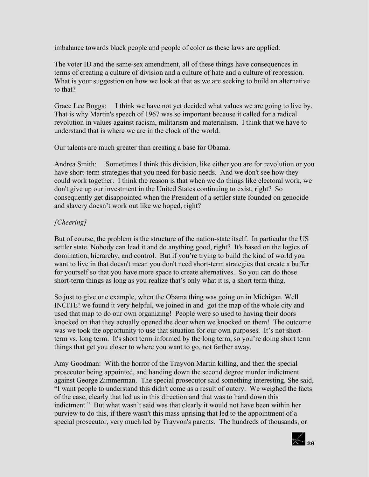imbalance towards black people and people of color as these laws are applied.

The voter ID and the same-sex amendment, all of these things have consequences in terms of creating a culture of division and a culture of hate and a culture of repression. What is your suggestion on how we look at that as we are seeking to build an alternative to that?

Grace Lee Boggs: I think we have not yet decided what values we are going to live by. That is why Martin's speech of 1967 was so important because it called for a radical revolution in values against racism, militarism and materialism. I think that we have to understand that is where we are in the clock of the world.

Our talents are much greater than creating a base for Obama.

Andrea Smith: Sometimes I think this division, like either you are for revolution or you have short-term strategies that you need for basic needs. And we don't see how they could work together. I think the reason is that when we do things like electoral work, we don't give up our investment in the United States continuing to exist, right? So consequently get disappointed when the President of a settler state founded on genocide and slavery doesn't work out like we hoped, right?

### *[Cheering]*

But of course, the problem is the structure of the nation-state itself. In particular the US settler state. Nobody can lead it and do anything good, right? It's based on the logics of domination, hierarchy, and control. But if you're trying to build the kind of world you want to live in that doesn't mean you don't need short-term strategies that create a buffer for yourself so that you have more space to create alternatives. So you can do those short-term things as long as you realize that's only what it is, a short term thing.

So just to give one example, when the Obama thing was going on in Michigan. Well INCITE! we found it very helpful, we joined in and got the map of the whole city and used that map to do our own organizing! People were so used to having their doors knocked on that they actually opened the door when we knocked on them! The outcome was we took the opportunity to use that situation for our own purposes. It's not shortterm vs. long term. It's short term informed by the long term, so you're doing short term things that get you closer to where you want to go, not farther away.

Amy Goodman: With the horror of the Trayvon Martin killing, and then the special prosecutor being appointed, and handing down the second degree murder indictment against George Zimmerman. The special prosecutor said something interesting. She said, "I want people to understand this didn't come as a result of outcry. We weighed the facts of the case, clearly that led us in this direction and that was to hand down this indictment." But what wasn't said was that clearly it would not have been within her purview to do this, if there wasn't this mass uprising that led to the appointment of a special prosecutor, very much led by Trayvon's parents. The hundreds of thousands, or

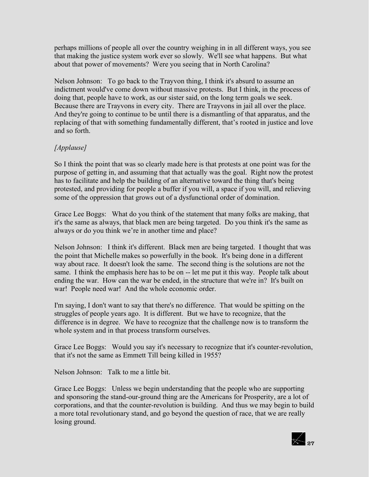perhaps millions of people all over the country weighing in in all different ways, you see that making the justice system work ever so slowly. We'll see what happens. But what about that power of movements? Were you seeing that in North Carolina?

Nelson Johnson: To go back to the Trayvon thing, I think it's absurd to assume an indictment would've come down without massive protests. But I think, in the process of doing that, people have to work, as our sister said, on the long term goals we seek. Because there are Trayvons in every city. There are Trayvons in jail all over the place. And they're going to continue to be until there is a dismantling of that apparatus, and the replacing of that with something fundamentally different, that's rooted in justice and love and so forth

### *[Applause]*

So I think the point that was so clearly made here is that protests at one point was for the purpose of getting in, and assuming that that actually was the goal. Right now the protest has to facilitate and help the building of an alternative toward the thing that's being protested, and providing for people a buffer if you will, a space if you will, and relieving some of the oppression that grows out of a dysfunctional order of domination.

Grace Lee Boggs: What do you think of the statement that many folks are making, that it's the same as always, that black men are being targeted. Do you think it's the same as always or do you think we're in another time and place?

Nelson Johnson: I think it's different. Black men are being targeted. I thought that was the point that Michelle makes so powerfully in the book. It's being done in a different way about race. It doesn't look the same. The second thing is the solutions are not the same. I think the emphasis here has to be on -- let me put it this way. People talk about ending the war. How can the war be ended, in the structure that we're in? It's built on war! People need war! And the whole economic order.

I'm saying, I don't want to say that there's no difference. That would be spitting on the struggles of people years ago. It is different. But we have to recognize, that the difference is in degree. We have to recognize that the challenge now is to transform the whole system and in that process transform ourselves.

Grace Lee Boggs: Would you say it's necessary to recognize that it's counter-revolution, that it's not the same as Emmett Till being killed in 1955?

Nelson Johnson: Talk to me a little bit.

Grace Lee Boggs: Unless we begin understanding that the people who are supporting and sponsoring the stand-our-ground thing are the Americans for Prosperity, are a lot of corporations, and that the counter-revolution is building. And thus we may begin to build a more total revolutionary stand, and go beyond the question of race, that we are really losing ground.

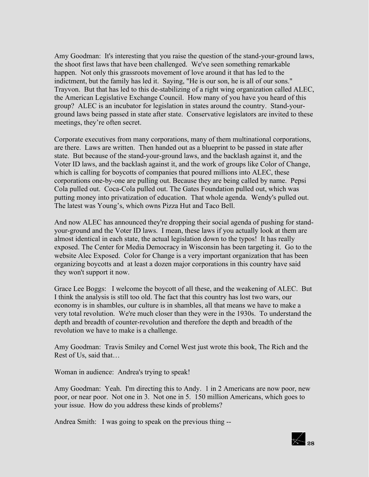Amy Goodman: It's interesting that you raise the question of the stand-your-ground laws, the shoot first laws that have been challenged. We've seen something remarkable happen. Not only this grassroots movement of love around it that has led to the indictment, but the family has led it. Saying, "He is our son, he is all of our sons." Trayvon. But that has led to this de-stabilizing of a right wing organization called ALEC, the American Legislative Exchange Council. How many of you have you heard of this group? ALEC is an incubator for legislation in states around the country. Stand-yourground laws being passed in state after state. Conservative legislators are invited to these meetings, they're often secret.

Corporate executives from many corporations, many of them multinational corporations, are there. Laws are written. Then handed out as a blueprint to be passed in state after state. But because of the stand-your-ground laws, and the backlash against it, and the Voter ID laws, and the backlash against it, and the work of groups like Color of Change, which is calling for boycotts of companies that poured millions into ALEC, these corporations one-by-one are pulling out. Because they are being called by name. Pepsi Cola pulled out. Coca-Cola pulled out. The Gates Foundation pulled out, which was putting money into privatization of education. That whole agenda. Wendy's pulled out. The latest was Young's, which owns Pizza Hut and Taco Bell.

And now ALEC has announced they're dropping their social agenda of pushing for standyour-ground and the Voter ID laws. I mean, these laws if you actually look at them are almost identical in each state, the actual legislation down to the typos! It has really exposed. The Center for Media Democracy in Wisconsin has been targeting it. Go to the website Alec Exposed. Color for Change is a very important organization that has been organizing boycotts and at least a dozen major corporations in this country have said they won't support it now.

Grace Lee Boggs: I welcome the boycott of all these, and the weakening of ALEC. But I think the analysis is still too old. The fact that this country has lost two wars, our economy is in shambles, our culture is in shambles, all that means we have to make a very total revolution. We're much closer than they were in the 1930s. To understand the depth and breadth of counter-revolution and therefore the depth and breadth of the revolution we have to make is a challenge.

Amy Goodman: Travis Smiley and Cornel West just wrote this book, The Rich and the Rest of Us, said that…

Woman in audience: Andrea's trying to speak!

Amy Goodman: Yeah. I'm directing this to Andy. 1 in 2 Americans are now poor, new poor, or near poor. Not one in 3. Not one in 5. 150 million Americans, which goes to your issue. How do you address these kinds of problems?

Andrea Smith: I was going to speak on the previous thing --

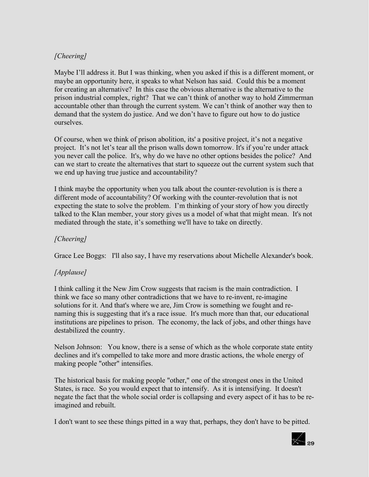### *[Cheering]*

Maybe I'll address it. But I was thinking, when you asked if this is a different moment, or maybe an opportunity here, it speaks to what Nelson has said. Could this be a moment for creating an alternative? In this case the obvious alternative is the alternative to the prison industrial complex, right? That we can't think of another way to hold Zimmerman accountable other than through the current system. We can't think of another way then to demand that the system do justice. And we don't have to figure out how to do justice ourselves.

Of course, when we think of prison abolition, its' a positive project, it's not a negative project. It's not let's tear all the prison walls down tomorrow. It's if you're under attack you never call the police. It's, why do we have no other options besides the police? And can we start to create the alternatives that start to squeeze out the current system such that we end up having true justice and accountability?

I think maybe the opportunity when you talk about the counter-revolution is is there a different mode of accountability? Of working with the counter-revolution that is not expecting the state to solve the problem. I'm thinking of your story of how you directly talked to the Klan member, your story gives us a model of what that might mean. It's not mediated through the state, it's something we'll have to take on directly.

### *[Cheering]*

Grace Lee Boggs: I'll also say, I have my reservations about Michelle Alexander's book.

# *[Applause]*

I think calling it the New Jim Crow suggests that racism is the main contradiction. I think we face so many other contradictions that we have to re-invent, re-imagine solutions for it. And that's where we are, Jim Crow is something we fought and renaming this is suggesting that it's a race issue. It's much more than that, our educational institutions are pipelines to prison. The economy, the lack of jobs, and other things have destabilized the country.

Nelson Johnson: You know, there is a sense of which as the whole corporate state entity declines and it's compelled to take more and more drastic actions, the whole energy of making people "other" intensifies.

The historical basis for making people "other," one of the strongest ones in the United States, is race. So you would expect that to intensify. As it is intensifying. It doesn't negate the fact that the whole social order is collapsing and every aspect of it has to be reimagined and rebuilt.

I don't want to see these things pitted in a way that, perhaps, they don't have to be pitted.

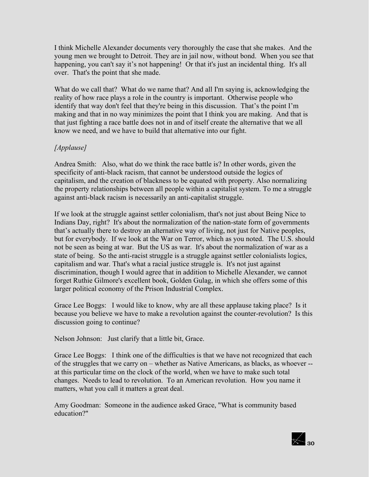I think Michelle Alexander documents very thoroughly the case that she makes. And the young men we brought to Detroit. They are in jail now, without bond. When you see that happening, you can't say it's not happening! Or that it's just an incidental thing. It's all over. That's the point that she made.

What do we call that? What do we name that? And all I'm saying is, acknowledging the reality of how race plays a role in the country is important. Otherwise people who identify that way don't feel that they're being in this discussion. That's the point I'm making and that in no way minimizes the point that I think you are making. And that is that just fighting a race battle does not in and of itself create the alternative that we all know we need, and we have to build that alternative into our fight.

### *[Applause]*

Andrea Smith: Also, what do we think the race battle is? In other words, given the specificity of anti-black racism, that cannot be understood outside the logics of capitalism, and the creation of blackness to be equated with property. Also normalizing the property relationships between all people within a capitalist system. To me a struggle against anti-black racism is necessarily an anti-capitalist struggle.

If we look at the struggle against settler colonialism, that's not just about Being Nice to Indians Day, right? It's about the normalization of the nation-state form of governments that's actually there to destroy an alternative way of living, not just for Native peoples, but for everybody. If we look at the War on Terror, which as you noted. The U.S. should not be seen as being at war. But the US as war. It's about the normalization of war as a state of being. So the anti-racist struggle is a struggle against settler colonialists logics, capitalism and war. That's what a racial justice struggle is. It's not just against discrimination, though I would agree that in addition to Michelle Alexander, we cannot forget Ruthie Gilmore's excellent book, Golden Gulag, in which she offers some of this larger political economy of the Prison Industrial Complex.

Grace Lee Boggs: I would like to know, why are all these applause taking place? Is it because you believe we have to make a revolution against the counter-revolution? Is this discussion going to continue?

Nelson Johnson: Just clarify that a little bit, Grace.

Grace Lee Boggs: I think one of the difficulties is that we have not recognized that each of the struggles that we carry on – whether as Native Americans, as blacks, as whoever - at this particular time on the clock of the world, when we have to make such total changes. Needs to lead to revolution. To an American revolution. How you name it matters, what you call it matters a great deal.

Amy Goodman: Someone in the audience asked Grace, "What is community based education?"

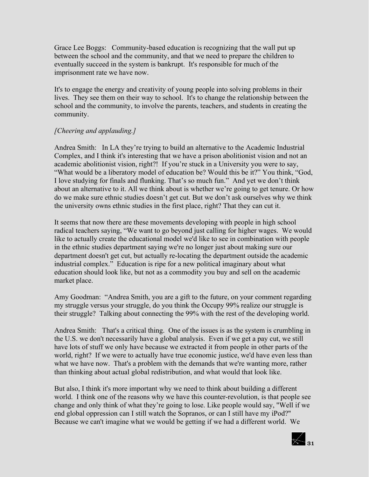Grace Lee Boggs: Community-based education is recognizing that the wall put up between the school and the community, and that we need to prepare the children to eventually succeed in the system is bankrupt. It's responsible for much of the imprisonment rate we have now.

It's to engage the energy and creativity of young people into solving problems in their lives. They see them on their way to school. It's to change the relationship between the school and the community, to involve the parents, teachers, and students in creating the community.

#### *[Cheering and applauding.]*

Andrea Smith: In LA they're trying to build an alternative to the Academic Industrial Complex, and I think it's interesting that we have a prison abolitionist vision and not an academic abolitionist vision, right?! If you're stuck in a University you were to say, "What would be a liberatory model of education be? Would this be it?" You think, "God, I love studying for finals and flunking. That's so much fun." And yet we don't think about an alternative to it. All we think about is whether we're going to get tenure. Or how do we make sure ethnic studies doesn't get cut. But we don't ask ourselves why we think the university owns ethnic studies in the first place, right? That they can cut it.

It seems that now there are these movements developing with people in high school radical teachers saying, "We want to go beyond just calling for higher wages. We would like to actually create the educational model we'd like to see in combination with people in the ethnic studies department saying we're no longer just about making sure our department doesn't get cut, but actually re-locating the department outside the academic industrial complex." Education is ripe for a new political imaginary about what education should look like, but not as a commodity you buy and sell on the academic market place.

Amy Goodman: "Andrea Smith, you are a gift to the future, on your comment regarding my struggle versus your struggle, do you think the Occupy 99% realize our struggle is their struggle? Talking about connecting the 99% with the rest of the developing world.

Andrea Smith: That's a critical thing. One of the issues is as the system is crumbling in the U.S. we don't necessarily have a global analysis. Even if we get a pay cut, we still have lots of stuff we only have because we extracted it from people in other parts of the world, right? If we were to actually have true economic justice, we'd have even less than what we have now. That's a problem with the demands that we're wanting more, rather than thinking about actual global redistribution, and what would that look like.

But also, I think it's more important why we need to think about building a different world. I think one of the reasons why we have this counter-revolution, is that people see change and only think of what they're going to lose. Like people would say, "Well if we end global oppression can I still watch the Sopranos, or can I still have my iPod?" Because we can't imagine what we would be getting if we had a different world. We

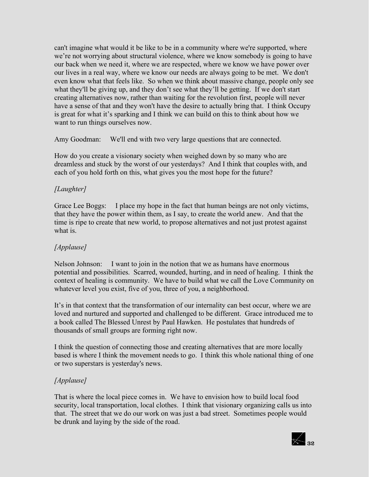can't imagine what would it be like to be in a community where we're supported, where we're not worrying about structural violence, where we know somebody is going to have our back when we need it, where we are respected, where we know we have power over our lives in a real way, where we know our needs are always going to be met. We don't even know what that feels like. So when we think about massive change, people only see what they'll be giving up, and they don't see what they'll be getting. If we don't start creating alternatives now, rather than waiting for the revolution first, people will never have a sense of that and they won't have the desire to actually bring that. I think Occupy is great for what it's sparking and I think we can build on this to think about how we want to run things ourselves now.

Amy Goodman: We'll end with two very large questions that are connected.

How do you create a visionary society when weighed down by so many who are dreamless and stuck by the worst of our yesterdays? And I think that couples with, and each of you hold forth on this, what gives you the most hope for the future?

# *[Laughter]*

Grace Lee Boggs: I place my hope in the fact that human beings are not only victims, that they have the power within them, as I say, to create the world anew. And that the time is ripe to create that new world, to propose alternatives and not just protest against what is.

# *[Applause]*

Nelson Johnson: I want to join in the notion that we as humans have enormous potential and possibilities. Scarred, wounded, hurting, and in need of healing. I think the context of healing is community. We have to build what we call the Love Community on whatever level you exist, five of you, three of you, a neighborhood.

It's in that context that the transformation of our internality can best occur, where we are loved and nurtured and supported and challenged to be different. Grace introduced me to a book called The Blessed Unrest by Paul Hawken. He postulates that hundreds of thousands of small groups are forming right now.

I think the question of connecting those and creating alternatives that are more locally based is where I think the movement needs to go. I think this whole national thing of one or two superstars is yesterday's news.

# *[Applause]*

That is where the local piece comes in. We have to envision how to build local food security, local transportation, local clothes. I think that visionary organizing calls us into that. The street that we do our work on was just a bad street. Sometimes people would be drunk and laying by the side of the road.

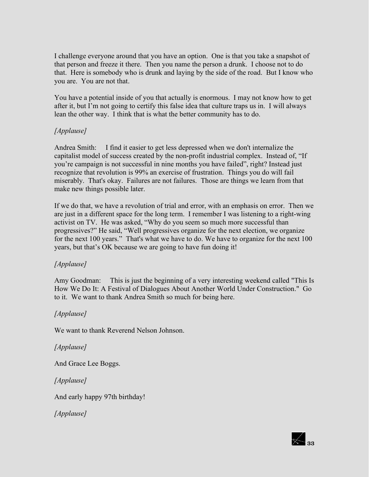I challenge everyone around that you have an option. One is that you take a snapshot of that person and freeze it there. Then you name the person a drunk. I choose not to do that. Here is somebody who is drunk and laying by the side of the road. But I know who you are. You are not that.

You have a potential inside of you that actually is enormous. I may not know how to get after it, but I'm not going to certify this false idea that culture traps us in. I will always lean the other way. I think that is what the better community has to do.

### *[Applause]*

Andrea Smith: I find it easier to get less depressed when we don't internalize the capitalist model of success created by the non-profit industrial complex. Instead of, "If you're campaign is not successful in nine months you have failed", right? Instead just recognize that revolution is 99% an exercise of frustration. Things you do will fail miserably. That's okay. Failures are not failures. Those are things we learn from that make new things possible later.

If we do that, we have a revolution of trial and error, with an emphasis on error. Then we are just in a different space for the long term. I remember I was listening to a right-wing activist on TV. He was asked, "Why do you seem so much more successful than progressives?" He said, "Well progressives organize for the next election, we organize for the next 100 years." That's what we have to do. We have to organize for the next 100 years, but that's OK because we are going to have fun doing it!

### *[Applause]*

Amy Goodman: This is just the beginning of a very interesting weekend called "This Is How We Do It: A Festival of Dialogues About Another World Under Construction." Go to it. We want to thank Andrea Smith so much for being here.

# *[Applause]*

We want to thank Reverend Nelson Johnson.

### *[Applause]*

And Grace Lee Boggs.

*[Applause]*

And early happy 97th birthday!

*[Applause]*